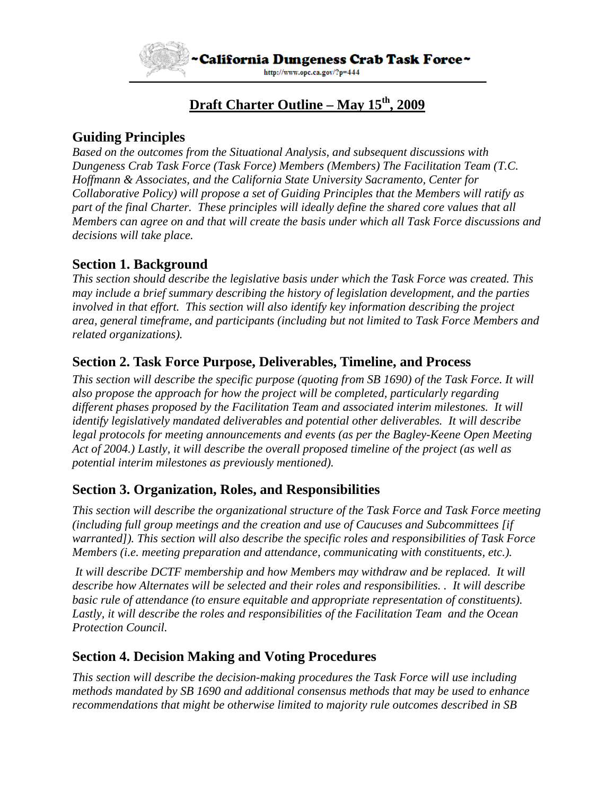

# **Draft Charter Outline – May 15th, 2009**

# **Guiding Principles**

*Based on the outcomes from the Situational Analysis, and subsequent discussions with Dungeness Crab Task Force (Task Force) Members (Members) The Facilitation Team (T.C. Hoffmann & Associates, and the California State University Sacramento, Center for Collaborative Policy) will propose a set of Guiding Principles that the Members will ratify as part of the final Charter. These principles will ideally define the shared core values that all Members can agree on and that will create the basis under which all Task Force discussions and decisions will take place.* 

# **Section 1. Background**

*This section should describe the legislative basis under which the Task Force was created. This may include a brief summary describing the history of legislation development, and the parties involved in that effort. This section will also identify key information describing the project area, general timeframe, and participants (including but not limited to Task Force Members and related organizations).* 

#### **Section 2. Task Force Purpose, Deliverables, Timeline, and Process**

*This section will describe the specific purpose (quoting from SB 1690) of the Task Force. It will also propose the approach for how the project will be completed, particularly regarding different phases proposed by the Facilitation Team and associated interim milestones. It will identify legislatively mandated deliverables and potential other deliverables. It will describe legal protocols for meeting announcements and events (as per the Bagley-Keene Open Meeting Act of 2004.) Lastly, it will describe the overall proposed timeline of the project (as well as potential interim milestones as previously mentioned).*

#### **Section 3. Organization, Roles, and Responsibilities**

*This section will describe the organizational structure of the Task Force and Task Force meeting (including full group meetings and the creation and use of Caucuses and Subcommittees [if warranted]). This section will also describe the specific roles and responsibilities of Task Force Members (i.e. meeting preparation and attendance, communicating with constituents, etc.).* 

 *It will describe DCTF membership and how Members may withdraw and be replaced. It will describe how Alternates will be selected and their roles and responsibilities. . It will describe basic rule of attendance (to ensure equitable and appropriate representation of constituents). Lastly, it will describe the roles and responsibilities of the Facilitation Team and the Ocean Protection Council.* 

#### **Section 4. Decision Making and Voting Procedures**

*This section will describe the decision-making procedures the Task Force will use including methods mandated by SB 1690 and additional consensus methods that may be used to enhance recommendations that might be otherwise limited to majority rule outcomes described in SB*